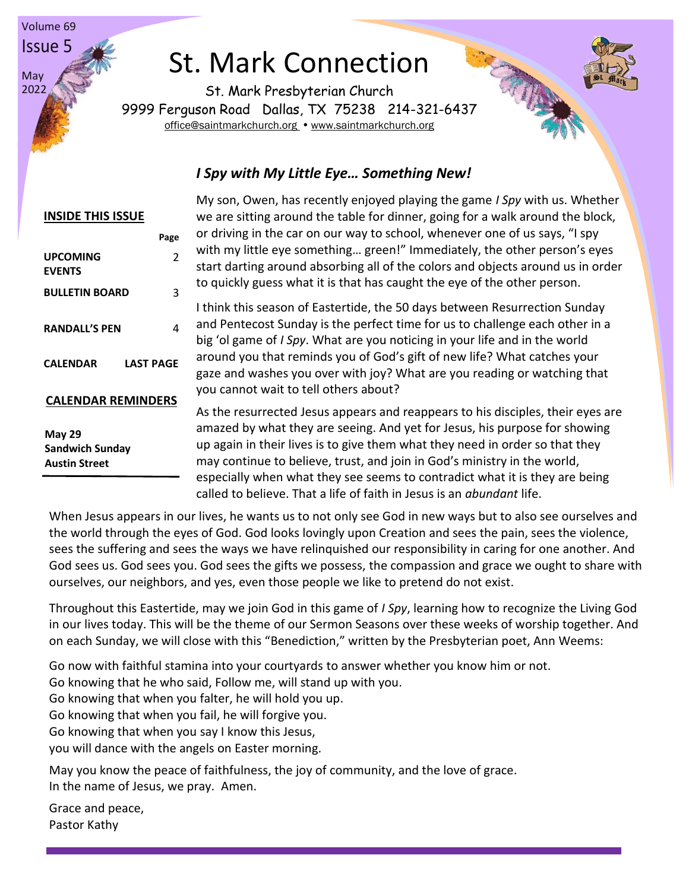# St. Mark Connection

St. Mark Presbyterian Church 9999 Ferguson Road Dallas, TX 75238 214-321-6437 [office@saintmarkchurch.org](mailto:office@saintmarkchurch.org) • [www.saintmarkchurch.org](http://www.saintmarkchurch.org/)

#### *I Spy with My Little Eye… Something New!*

# **INSIDE THIS ISSUE Page UPCOMING EVENTS**  2 **BULLETIN BOARD** 3 **RANDALL'S PEN** 4 **CALENDAR LAST PAGE CALENDAR REMINDERS May 29 Sandwich Sunday Austin Street**

Volume 69 Issue 5

May 2022

> My son, Owen, has recently enjoyed playing the game *I Spy* with us. Whether we are sitting around the table for dinner, going for a walk around the block, or driving in the car on our way to school, whenever one of us says, "I spy with my little eye something… green!" Immediately, the other person's eyes start darting around absorbing all of the colors and objects around us in order to quickly guess what it is that has caught the eye of the other person.

I think this season of Eastertide, the 50 days between Resurrection Sunday and Pentecost Sunday is the perfect time for us to challenge each other in a big 'ol game of *I Spy*. What are you noticing in your life and in the world around you that reminds you of God's gift of new life? What catches your gaze and washes you over with joy? What are you reading or watching that you cannot wait to tell others about?

As the resurrected Jesus appears and reappears to his disciples, their eyes are amazed by what they are seeing. And yet for Jesus, his purpose for showing up again in their lives is to give them what they need in order so that they may continue to believe, trust, and join in God's ministry in the world, especially when what they see seems to contradict what it is they are being called to believe. That a life of faith in Jesus is an *abundant* life.

When Jesus appears in our lives, he wants us to not only see God in new ways but to also see ourselves and the world through the eyes of God. God looks lovingly upon Creation and sees the pain, sees the violence, sees the suffering and sees the ways we have relinquished our responsibility in caring for one another. And God sees us. God sees you. God sees the gifts we possess, the compassion and grace we ought to share with ourselves, our neighbors, and yes, even those people we like to pretend do not exist.

Throughout this Eastertide, may we join God in this game of *I Spy*, learning how to recognize the Living God in our lives today. This will be the theme of our Sermon Seasons over these weeks of worship together. And on each Sunday, we will close with this "Benediction," written by the Presbyterian poet, Ann Weems:

Go now with faithful stamina into your courtyards to answer whether you know him or not.

Go knowing that he who said, Follow me, will stand up with you.

Go knowing that when you falter, he will hold you up.

Go knowing that when you fail, he will forgive you.

Go knowing that when you say I know this Jesus,

you will dance with the angels on Easter morning.

May you know the peace of faithfulness, the joy of community, and the love of grace. In the name of Jesus, we pray. Amen.

Grace and peace, Pastor Kathy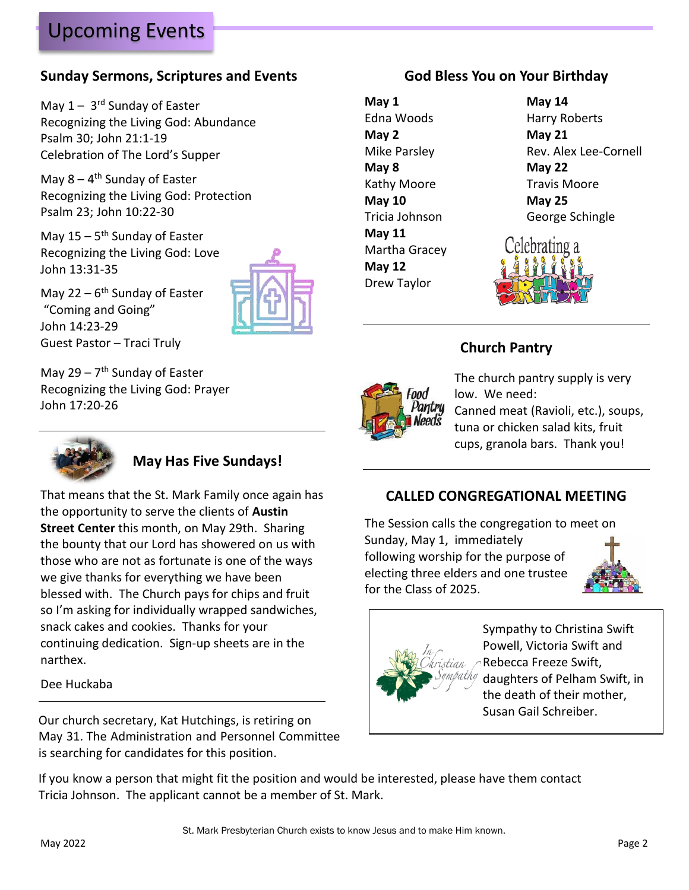# Upcoming Events

### **Sunday Sermons, Scriptures and Events**

May 1 - 3<sup>rd</sup> Sunday of Easter Recognizing the Living God: Abundance Psalm 30; John 21:1-19 Celebration of The Lord's Supper

May 8 - 4<sup>th</sup> Sunday of Easter Recognizing the Living God: Protection Psalm 23; John 10:22-30

May 15 – 5<sup>th</sup> Sunday of Easter Recognizing the Living God: Love John 13:31-35

May 22 – 6<sup>th</sup> Sunday of Easter "Coming and Going" John 14:23-29 Guest Pastor – Traci Truly

May 29 – 7<sup>th</sup> Sunday of Easter Recognizing the Living God: Prayer John 17:20-26



### **May Has Five Sundays!**

That means that the St. Mark Family once again has the opportunity to serve the clients of **Austin Street Center** this month, on May 29th. Sharing the bounty that our Lord has showered on us with those who are not as fortunate is one of the ways we give thanks for everything we have been blessed with. The Church pays for chips and fruit so I'm asking for individually wrapped sandwiches, snack cakes and cookies. Thanks for your continuing dedication. Sign-up sheets are in the narthex.

#### Dee Huckaba

Susan Gail Schreiber. Our church secretary, Kat Hutchings, is retiring on May 31. The Administration and Personnel Committee is searching for candidates for this position.

### **God Bless You on Your Birthday**

**May 1 May 14 May 2 May 21 May 8 May 22** Kathy Moore Travis Moore **May 10 May 25 May 11** Martha Gracey **May 12** Drew Taylor





### **Church Pantry**



The church pantry supply is very low. We need:

Canned meat (Ravioli, etc.), soups, tuna or chicken salad kits, fruit cups, granola bars. Thank you!

### **CALLED CONGREGATIONAL MEETING**

The Session calls the congregation to meet on Sunday, May 1, immediately following worship for the purpose of electing three elders and one trustee for the Class of 2025.





Sympathy to Christina Swift Powell, Victoria Swift and Rebecca Freeze Swift, daughters of Pelham Swift, in the death of their mother,

If you know a person that might fit the position and would be interested, please have them contact Tricia Johnson. The applicant cannot be a member of St. Mark.

St. Mark Presbyterian Church exists to know Jesus and to make Him known.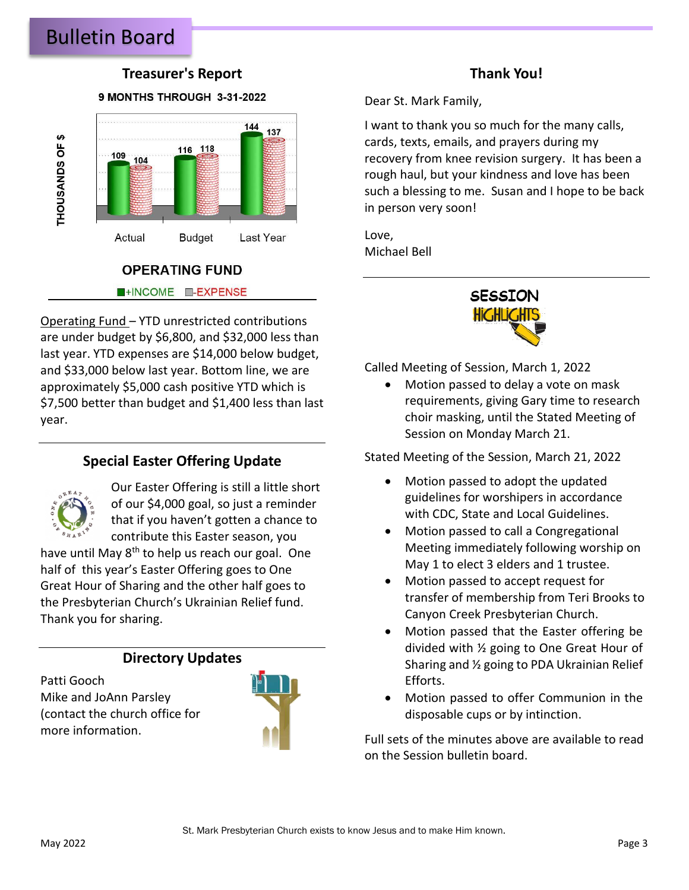## Bulletin Board

#### **Treasurer's Report**

#### 9 MONTHS THROUGH 3-31-2022



# **OPERATING FUND**

HINCOME **I-EXPENSE** 

Operating Fund – YTD unrestricted contributions are under budget by \$6,800, and \$32,000 less than last year. YTD expenses are \$14,000 below budget, and \$33,000 below last year. Bottom line, we are approximately \$5,000 cash positive YTD which is \$7,500 better than budget and \$1,400 less than last year.

#### **Special Easter Offering Update**



Our Easter Offering is still a little short of our \$4,000 goal, so just a reminder that if you haven't gotten a chance to contribute this Easter season, you

have until May 8<sup>th</sup> to help us reach our goal. One half of this year's Easter Offering goes to One Great Hour of Sharing and the other half goes to the Presbyterian Church's Ukrainian Relief fund. Thank you for sharing.

#### **Directory Updates**

Patti Gooch Mike and JoAnn Parsley (contact the church office for more information.



#### **Thank You!**

Dear St. Mark Family,

I want to thank you so much for the many calls, cards, texts, emails, and prayers during my recovery from knee revision surgery. It has been a rough haul, but your kindness and love has been such a blessing to me. Susan and I hope to be back in person very soon!

Love, Michael Bell



Called Meeting of Session, March 1, 2022

• Motion passed to delay a vote on mask requirements, giving Gary time to research choir masking, until the Stated Meeting of Session on Monday March 21.

Stated Meeting of the Session, March 21, 2022

- Motion passed to adopt the updated guidelines for worshipers in accordance with CDC, State and Local Guidelines.
- Motion passed to call a Congregational Meeting immediately following worship on May 1 to elect 3 elders and 1 trustee.
- Motion passed to accept request for transfer of membership from Teri Brooks to Canyon Creek Presbyterian Church.
- Motion passed that the Easter offering be divided with ½ going to One Great Hour of Sharing and ½ going to PDA Ukrainian Relief Efforts.
- Motion passed to offer Communion in the disposable cups or by intinction.

Full sets of the minutes above are available to read on the Session bulletin board.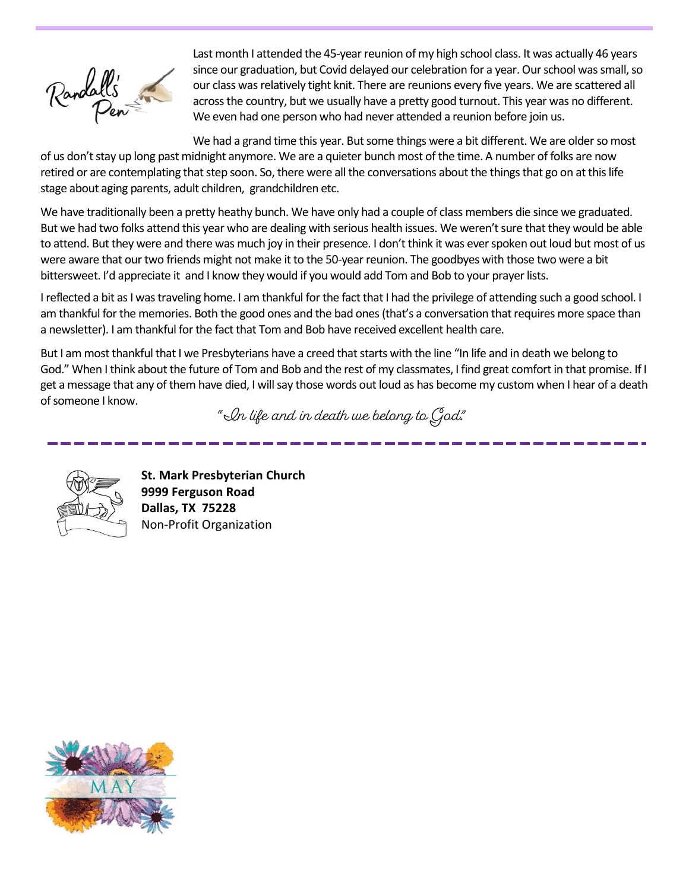

Last month I attended the 45-year reunion of my high school class. It was actually 46 years since our graduation, but Covid delayed our celebration for a year. Our school was small, so our class was relatively tight knit. There are reunions every five years. We are scattered all across the country, but we usually have a pretty good turnout. This year was no different. We even had one person who had never attended a reunion before join us.

We had a grand time this year. But some things were a bit different. We are older so most of us don't stay up long past midnight anymore. We are a quieter bunch most of the time. A number of folks are now retired or are contemplating that step soon. So, there were all the conversations about the things that go on at this life stage about aging parents, adult children, grandchildren etc.

We have traditionally been a pretty heathy bunch. We have only had a couple of class members die since we graduated. But we had two folks attend this year who are dealing with serious health issues. We weren't sure that they would be able to attend. But they were and there was much joy in their presence. I don't think it was ever spoken out loud but most of us were aware that our two friends might not make it to the 50-year reunion. The goodbyes with those two were a bit bittersweet. I'd appreciate it and I know they would if you would add Tom and Bob to your prayer lists.

I reflected a bit as I was traveling home. I am thankful for the fact that I had the privilege of attending such a good school. I am thankful for the memories. Both the good ones and the bad ones (that's a conversation that requires more space than a newsletter). I am thankful for the fact that Tom and Bob have received excellent health care.

But I am most thankful that I we Presbyterians have a creed that starts with the line "In life and in death we belong to God." When I think about the future of Tom and Bob and the rest of my classmates, I find great comfort in that promise. If I get a message that any of them have died, I will say those words out loud as has become my custom when I hear of a death of someone I know.

 $\degree$  In life and in death we belong to God."



**St. Mark Presbyterian Church 9999 Ferguson Road Dallas, TX 75228** Non-Profit Organization